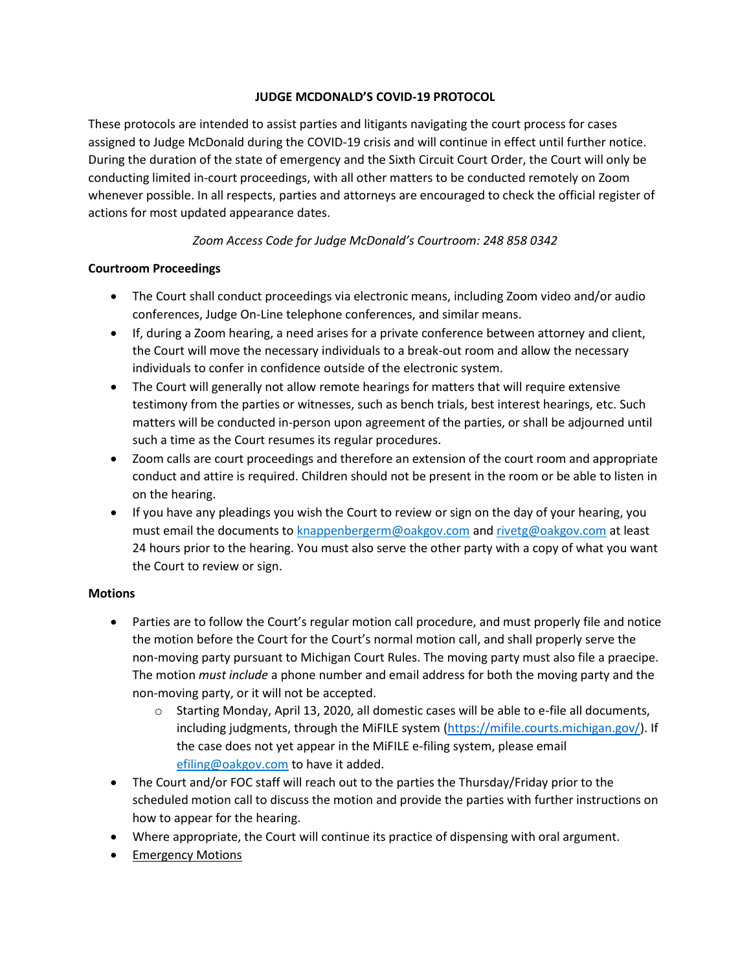### **JUDGE MCDONALD'S COVID-19 PROTOCOL**

These protocols are intended to assist parties and litigants navigating the court process for cases assigned to Judge McDonald during the COVID-19 crisis and will continue in effect until further notice. During the duration of the state of emergency and the Sixth Circuit Court Order, the Court will only be conducting limited in-court proceedings, with all other matters to be conducted remotely on Zoom whenever possible. In all respects, parties and attorneys are encouraged to check the official register of actions for most updated appearance dates.

## *Zoom Access Code for Judge McDonald's Courtroom: 248 858 0342*

### **Courtroom Proceedings**

- The Court shall conduct proceedings via electronic means, including Zoom video and/or audio conferences, Judge On-Line telephone conferences, and similar means.
- If, during a Zoom hearing, a need arises for a private conference between attorney and client, the Court will move the necessary individuals to a break-out room and allow the necessary individuals to confer in confidence outside of the electronic system.
- The Court will generally not allow remote hearings for matters that will require extensive testimony from the parties or witnesses, such as bench trials, best interest hearings, etc. Such matters will be conducted in-person upon agreement of the parties, or shall be adjourned until such a time as the Court resumes its regular procedures.
- Zoom calls are court proceedings and therefore an extension of the court room and appropriate conduct and attire is required. Children should not be present in the room or be able to listen in on the hearing.
- If you have any pleadings you wish the Court to review or sign on the day of your hearing, you must email the documents to knappenbergerm@oakgov.com and rivetg@oakgov.com at least 24 hours prior to the hearing. You must also serve the other party with a copy of what you want the Court to review or sign.

## **Motions**

- Parties are to follow the Court's regular motion call procedure, and must properly file and notice the motion before the Court for the Court's normal motion call, and shall properly serve the non-moving party pursuant to Michigan Court Rules. The moving party must also file a praecipe. The motion *must include* a phone number and email address for both the moving party and the non-moving party, or it will not be accepted.
	- $\circ$  Starting Monday, April 13, 2020, all domestic cases will be able to e-file all documents, including judgments, through the MiFILE system [\(https://mifile.courts.michigan.gov/\)](https://mifile.courts.michigan.gov/). If the case does not yet appear in the MiFILE e-filing system, please email efiling@oakgov.com to have it added.
- The Court and/or FOC staff will reach out to the parties the Thursday/Friday prior to the scheduled motion call to discuss the motion and provide the parties with further instructions on how to appear for the hearing.
- Where appropriate, the Court will continue its practice of dispensing with oral argument.
- **Emergency Motions**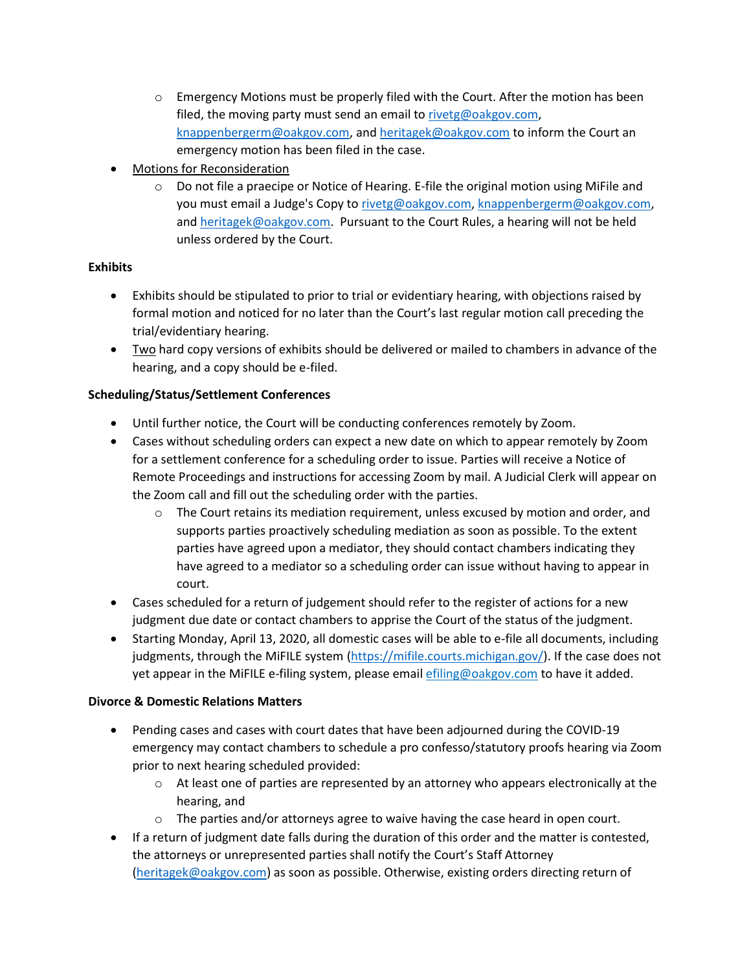- $\circ$  Emergency Motions must be properly filed with the Court. After the motion has been filed, the moving party must send an email to [rivetg@oakgov.com,](mailto:rivetg@oakgov.com) [knappenbergerm@oakgov.com,](mailto:knappenbergerm@oakgov.com) an[d heritagek@oakgov.com](mailto:heritagek@oakgov.com) to inform the Court an emergency motion has been filed in the case.
- **Motions for Reconsideration** 
	- $\circ$  Do not file a praecipe or Notice of Hearing. E-file the original motion using MiFile and you must email a Judge's Copy t[o rivetg@oakgov.com,](mailto:rivetg@oakgov.com) [knappenbergerm@oakgov.com,](mailto:knappenbergerm@oakgov.com) and [heritagek@oakgov.com.](mailto:heritagek@oakgov.com) Pursuant to the Court Rules, a hearing will not be held unless ordered by the Court.

## **Exhibits**

- Exhibits should be stipulated to prior to trial or evidentiary hearing, with objections raised by formal motion and noticed for no later than the Court's last regular motion call preceding the trial/evidentiary hearing.
- Two hard copy versions of exhibits should be delivered or mailed to chambers in advance of the hearing, and a copy should be e-filed.

# **Scheduling/Status/Settlement Conferences**

- Until further notice, the Court will be conducting conferences remotely by Zoom.
- Cases without scheduling orders can expect a new date on which to appear remotely by Zoom for a settlement conference for a scheduling order to issue. Parties will receive a Notice of Remote Proceedings and instructions for accessing Zoom by mail. A Judicial Clerk will appear on the Zoom call and fill out the scheduling order with the parties.
	- $\circ$  The Court retains its mediation requirement, unless excused by motion and order, and supports parties proactively scheduling mediation as soon as possible. To the extent parties have agreed upon a mediator, they should contact chambers indicating they have agreed to a mediator so a scheduling order can issue without having to appear in court.
- Cases scheduled for a return of judgement should refer to the register of actions for a new judgment due date or contact chambers to apprise the Court of the status of the judgment.
- Starting Monday, April 13, 2020, all domestic cases will be able to e-file all documents, including judgments, through the MiFILE system [\(https://mifile.courts.michigan.gov/\)](https://mifile.courts.michigan.gov/). If the case does not yet appear in the MiFILE e-filing system, please email efiling@oakgov.com to have it added.

## **Divorce & Domestic Relations Matters**

- Pending cases and cases with court dates that have been adjourned during the COVID-19 emergency may contact chambers to schedule a pro confesso/statutory proofs hearing via Zoom prior to next hearing scheduled provided:
	- $\circ$  At least one of parties are represented by an attorney who appears electronically at the hearing, and
	- $\circ$  The parties and/or attorneys agree to waive having the case heard in open court.
- If a return of judgment date falls during the duration of this order and the matter is contested, the attorneys or unrepresented parties shall notify the Court's Staff Attorney [\(heritagek@oakgov.com\)](mailto:heritagek@oakgov.com) as soon as possible. Otherwise, existing orders directing return of